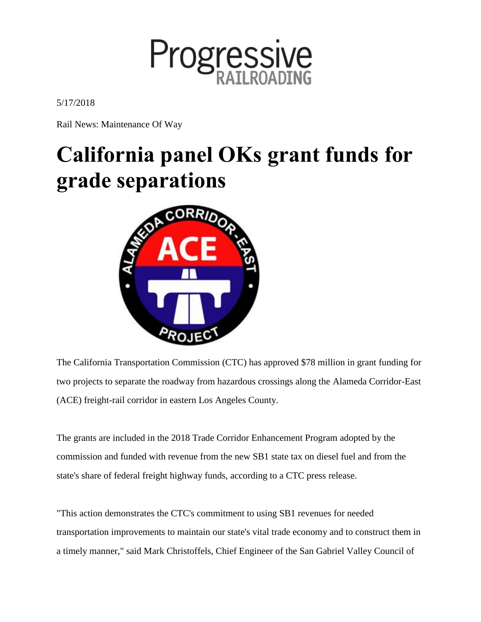

5/17/2018

Rail News: Maintenance Of Way

## **California panel OKs grant funds for grade separations**



The [California Transportation Commission](http://www.catc.ca.gov/) (CTC) has approved \$78 million in grant funding for two projects to separate the roadway from hazardous crossings along the [Alameda Corridor-East](http://www.theaceproject.org/) (ACE) freight-rail corridor in eastern Los Angeles County.

The grants are included in the 2018 Trade Corridor Enhancement Program adopted by the commission and funded with revenue from the new SB1 state tax on diesel fuel and from the state's share of federal freight highway funds, according to a CTC press release.

"This action demonstrates the CTC's commitment to using SB1 revenues for needed transportation improvements to maintain our state's vital trade economy and to construct them in a timely manner," said Mark Christoffels, Chief Engineer of the [San Gabriel Valley Council of](https://www.sgvcog.org/)